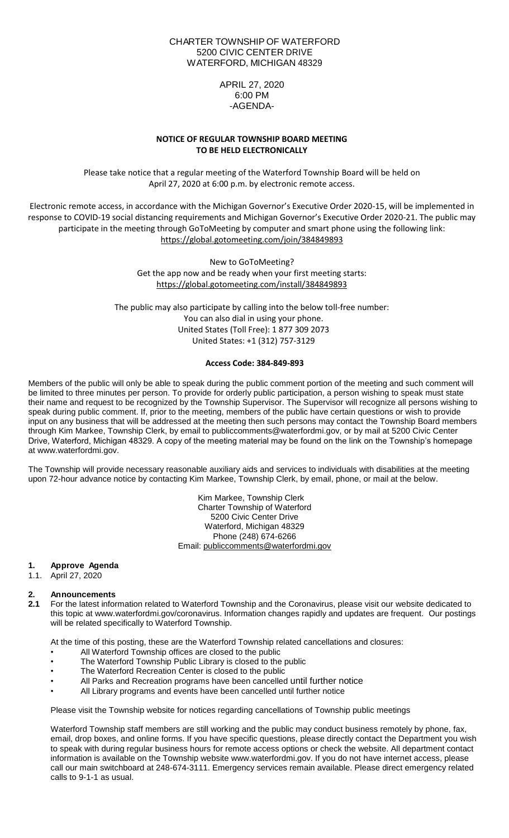### CHARTER TOWNSHIP OF WATERFORD 5200 CIVIC CENTER DRIVE WATERFORD, MICHIGAN 48329

## APRIL 27, 2020 6:00 PM -AGENDA-

## **NOTICE OF REGULAR TOWNSHIP BOARD MEETING TO BE HELD ELECTRONICALLY**

Please take notice that a regular meeting of the Waterford Township Board will be held on April 27, 2020 at 6:00 p.m. by electronic remote access.

Electronic remote access, in accordance with the Michigan Governor's Executive Order 2020-15, will be implemented in response to COVID-19 social distancing requirements and Michigan Governor's Executive Order 2020-21. The public may participate in the meeting through GoToMeeting by computer and smart phone using the following link: <https://global.gotomeeting.com/join/384849893>

> New to GoToMeeting? Get the app now and be ready when your first meeting starts: <https://global.gotomeeting.com/install/384849893>

The public may also participate by calling into the below toll-free number: You can also dial in using your phone. United States (Toll Free): 1 877 309 2073 United States: +1 (312) 757-3129

### **Access Code: 384-849-893**

Members of the public will only be able to speak during the public comment portion of the meeting and such comment will be limited to three minutes per person. To provide for orderly public participation, a person wishing to speak must state their name and request to be recognized by the Township Supervisor. The Supervisor will recognize all persons wishing to speak during public comment. If, prior to the meeting, members of the public have certain questions or wish to provide input on any business that will be addressed at the meeting then such persons may contact the Township Board members through Kim Markee, Township Clerk, by email to publiccomments@waterfordmi.gov, or by mail at 5200 Civic Center Drive, Waterford, Michigan 48329. A copy of the meeting material may be found on the link on the Township's homepage at www.waterfordmi.gov.

The Township will provide necessary reasonable auxiliary aids and services to individuals with disabilities at the meeting upon 72-hour advance notice by contacting Kim Markee, Township Clerk, by email, phone, or mail at the below.

> Kim Markee, Township Clerk Charter Township of Waterford 5200 Civic Center Drive Waterford, Michigan 48329 Phone (248) 674-6266 Email: [publiccomments@waterfordmi.gov](mailto:publiccomments@waterfordmi.gov)

#### **1. Approve Agenda**

1.1. April 27, 2020

# **2. Announcements**

**2.1** For the latest information related to Waterford Township and the Coronavirus, please visit our website dedicated to this topic at www.waterfordmi.gov/coronavirus. Information changes rapidly and updates are frequent. Our postings will be related specifically to Waterford Township.

At the time of this posting, these are the Waterford Township related cancellations and closures:

- All Waterford Township offices are closed to the public
- The Waterford Township Public Library is closed to the public
- The Waterford Recreation Center is closed to the public
- All Parks and Recreation programs have been cancelled until further notice
- All Library programs and events have been cancelled until further notice

Please visit the Township website for notices regarding cancellations of Township public meetings

Waterford Township staff members are still working and the public may conduct business remotely by phone, fax, email, drop boxes, and online forms. If you have specific questions, please directly contact the Department you wish to speak with during regular business hours for remote access options or check the website. All department contact information is available on the Township website www.waterfordmi.gov. If you do not have internet access, please call our main switchboard at 248-674-3111. Emergency services remain available. Please direct emergency related calls to 9-1-1 as usual.